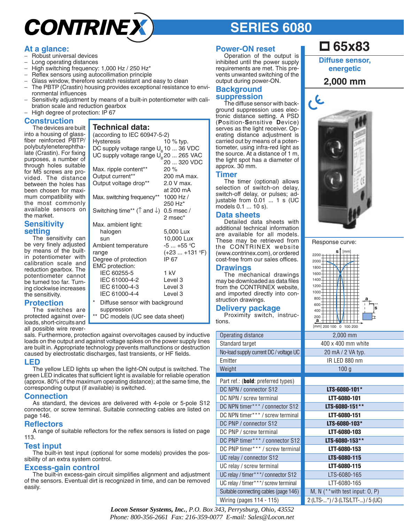# **CONTRINE**

# **SERIES 6080**

# **At a glance:**

- − Robust universal devices
- Long operating distances
- − High switching frequency: 1,000 Hz / 250 Hz\*
- Reflex sensors using autocollimation principle
- Glass window, therefore scratch resistant and easy to clean
- − The PBTP (Crastin) housing provides exceptional resistance to environmental influences
- − Sensitivity adjustment by means of a built-in potentiometer with calibration scale and reduction gearbox
- − High degree of protection: IP 67

#### **Construction**

The devices are built into a housing of glassfiber reinforced PBTP/ polybutyleneterephthalate (Crastin). For fixing purposes, a number of through holes suitable for M5 screws are provided. The distance between the holes has been chosen for maximum compatibility with the most commonly available sensors on the market.

#### **Sensitivity setting**

The sensitivity can be very finely adjusted by means of the builtin potentiometer with calibration scale and reduction gearbox. The potentiometer cannot be turned too far. Turning clockwise increases the sensitivity.

# **Protection**

The switches are protected against overloads, short-circuits and all possible wire rever**Technical data:** (according to IEC 60947-5-2)

| Hysteresis                                                  | 10 $%$ typ.      |
|-------------------------------------------------------------|------------------|
| DC supply voltage range $U_{\rm B}$ 10  36 VDC              |                  |
| UC supply voltage range $U_R$ 20  265 VAC                   |                  |
|                                                             | 20  320 VDC      |
|                                                             |                  |
| Max. ripple content**                                       | 20%              |
| Output current**                                            | 200 mA max.      |
| Output voltage drop**                                       | 2.0 V max.       |
|                                                             | at 200 mA        |
| Max. switching frequency**                                  | 1000 Hz /        |
|                                                             | 250 Hz*          |
| Switching time** ( $\uparrow$ and $\downarrow$ ) 0.5 msec / |                  |
|                                                             | 2 msec*          |
| Max. ambient light:                                         |                  |
| halogen                                                     | 5,000 Lux        |
| sun                                                         | 10,000 Lux       |
| Ambient temperature                                         | $-5+55$ °C       |
| range                                                       | $(+23  +131 °F)$ |
| Degree of protection                                        | IP 67            |
| EMC protection:                                             |                  |
| IEC 60255-5                                                 | 1 kV             |
|                                                             |                  |
| IEC 61000-4-2                                               | Level 3          |
| IEC 61000-4-3                                               | Level 3          |
| IEC 61000-4-4                                               | Level 3          |
| $\star$<br>Diffuse sensor with background                   |                  |
| suppression                                                 |                  |
| $***$<br>DC models (UC see data sheet)                      |                  |

sals. Furthermore, protection against overvoltages caused by inductive loads on the output and against voltage spikes on the power supply lines are built in. Appropriate technology prevents malfunctions or destruction caused by electrostatic discharges, fast transients, or HF fields.

#### **LED**

The yellow LED lights up when the light-ON output is switched. The green LED indicates that sufficient light is available for reliable operation (approx. 80% of the maximum operating distance); at the same time, the corresponding output (if available) is switched.

#### **Connection**

As standard, the devices are delivered with 4-pole or 5-pole S12 connector, or screw terminal. Suitable connecting cables are listed on page 146.

#### **Reflectors**

A range of suitable reflectors for the reflex sensors is listed on page 113.

#### **Test input**

The built-in test input (optional for some models) provides the possibility of an extra system control.

#### **Excess-gain control**

The built-in excess-gain circuit simplifies alignment and adjustment of the sensors. Eventual dirt is recognized in time, and can be removed easily.

#### **Power-ON reset**

Operation of the output is inhibited until the power supply requirements are met. This prevents unwanted switching of the output during power-ON.

#### **Background suppression**

The diffuse sensor with background suppression uses electronic distance setting. A PSD (**P**osition-**S**ensitive **D**evice) serves as the light receiver. Operating distance adjustment is carried out by means of a potentiometer, using infra-red light as the source. At a distance of 1 m, the light spot has a diameter of approx. 30 mm.

#### **Timer**

The timer (optional) allows selection of switch-on delay, switch-off delay, or pulses; adjustable from 0.01 ... 1 s (UC models 0.1 ... 10 s).

#### **Data sheets**

Detailed data sheets with additional technical information are available for all models. These may be retrieved from the CONTRINEX website (www.contrinex.com), or ordered cost-free from our sales offices.

#### **Drawings**

The mechanical drawings may be downloaded as data files from the CONTRINEX website, and imported directly into construction drawings.

#### **Delivery package**

Proximity switch, instructions.

| Operating distance                     |
|----------------------------------------|
| Standard target                        |
| No-load supply current DC / voltage UC |
| Emitter                                |
| Weight                                 |
| Part ref.: (bold: preferred types)     |
| DC NPN / connector S12                 |
| DC NPN / screw terminal                |
| DC NPN timer*** / connector S12        |
| DC NPN timer*** / screw terminal       |
| DC PNP / connector S12                 |
| DC PNP / screw terminal                |
| DC PNP timer*** / connector S12        |
| DC PNP timer*** / screw terminal       |
| UC relay / connector S12               |
| UC relay / screw terminal              |
| UC relay / timer***/ connector S12     |
| UC relay / timer***/ screw terminal    |
| Suitable connecting cables (page 146)  |
| Wiring (pages 114 - 115)               |

# **65x83**

**Diffuse sensor, energetic** 

### **2,000 mm**



| Response curve: |  |
|-----------------|--|
|-----------------|--|

|              |  | s        |  | [mm]    |  |   |
|--------------|--|----------|--|---------|--|---|
| 2200         |  |          |  |         |  |   |
| 2000         |  |          |  |         |  |   |
| 1800         |  |          |  |         |  |   |
| 1600         |  |          |  |         |  |   |
| 1400         |  |          |  |         |  |   |
| 1200         |  |          |  |         |  |   |
| 1000         |  |          |  |         |  |   |
| 800          |  |          |  |         |  | а |
| 600          |  |          |  |         |  |   |
| 400          |  |          |  |         |  | Ś |
| 200          |  |          |  |         |  |   |
| a            |  |          |  |         |  |   |
| [mm] 200 100 |  | $\Omega$ |  | 100 200 |  |   |

IR LED 880 nm 100 g

| S)              |                                       |
|-----------------|---------------------------------------|
|                 | LTS-6080-101*                         |
|                 | LTT-6080-101                          |
| S12             | LTS-6080-151**                        |
| iinal           | <b>LTT-6080-151</b>                   |
|                 | LTS-6080-103*                         |
|                 | <b>LTT-6080-103</b>                   |
| S <sub>12</sub> | LTS-6080-153**                        |
| ninal           | LTT-6080-153                          |
|                 | LTS-6080-115                          |
|                 | <b>LTT-6080-115</b>                   |
| 312             | LTS-6080-165                          |
| inal            | LTT-6080-165                          |
| 146)            | M, N $(*\n  * with test input: 0, P)$ |
|                 | 2 (LTS-*) / 3 (LTS/LTT-) / 5 (UC)     |

*Locon Sensor Systems, Inc.*, *P.O. Box 343, Perrysburg, Ohio, 43552 Phone: 800-356-2661 Fax: 216-359-0077 E-mail: Sales@Locon.net*